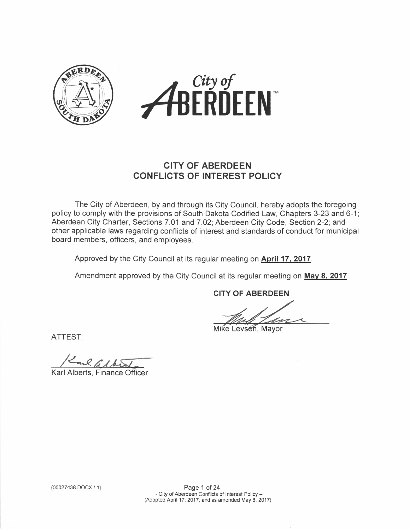



## CITY OF ABERDEEN CONFLICTS OF INTEREST POLIGY

The City of Aberdeen, by and through its City Council, hereby adopts the foregoing policy to comply with the provisions of South Dakota Codified Law, Chapters 3-23 and 6-1; Aberdeen City Charter, Sections 7.01 and 7.02; Aberdeen City Code, Section 2-2; and other applicable laws regarding conflicts of interest and standards of conduct for municipal board members, officers, and employees.

Approved by the City Council at its regular meeting on April 17, 2017.

Amendment approved by the City Council at its regular meeting on May 8, 2017.

CITY OF ABERDEEN

Mike Levsen, Mayor

ATTEST

 $RGA63$ 

Karl Alberts, Finance Officer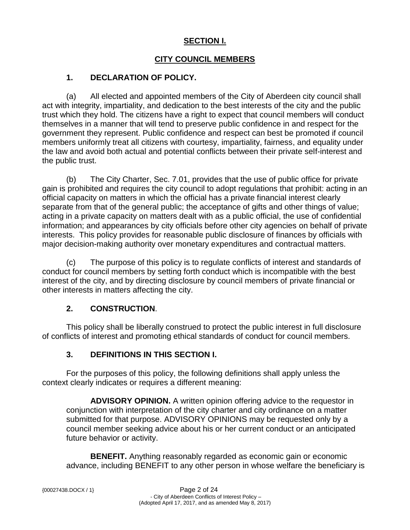### **SECTION I.**

### **CITY COUNCIL MEMBERS**

### **1. DECLARATION OF POLICY.**

(a) All elected and appointed members of the City of Aberdeen city council shall act with integrity, impartiality, and dedication to the best interests of the city and the public trust which they hold. The citizens have a right to expect that council members will conduct themselves in a manner that will tend to preserve public confidence in and respect for the government they represent. Public confidence and respect can best be promoted if council members uniformly treat all citizens with courtesy, impartiality, fairness, and equality under the law and avoid both actual and potential conflicts between their private self-interest and the public trust.

(b) The City Charter, Sec. 7.01, provides that the use of public office for private gain is prohibited and requires the city council to adopt regulations that prohibit: acting in an official capacity on matters in which the official has a private financial interest clearly separate from that of the general public; the acceptance of gifts and other things of value; acting in a private capacity on matters dealt with as a public official, the use of confidential information; and appearances by city officials before other city agencies on behalf of private interests. This policy provides for reasonable public disclosure of finances by officials with major decision-making authority over monetary expenditures and contractual matters.

(c) The purpose of this policy is to regulate conflicts of interest and standards of conduct for council members by setting forth conduct which is incompatible with the best interest of the city, and by directing disclosure by council members of private financial or other interests in matters affecting the city.

### **2. CONSTRUCTION**.

This policy shall be liberally construed to protect the public interest in full disclosure of conflicts of interest and promoting ethical standards of conduct for council members.

### **3. DEFINITIONS IN THIS SECTION I.**

For the purposes of this policy, the following definitions shall apply unless the context clearly indicates or requires a different meaning:

**ADVISORY OPINION.** A written opinion offering advice to the requestor in conjunction with interpretation of the city charter and city ordinance on a matter submitted for that purpose. ADVISORY OPINIONS may be requested only by a council member seeking advice about his or her current conduct or an anticipated future behavior or activity.

**BENEFIT.** Anything reasonably regarded as economic gain or economic advance, including BENEFIT to any other person in whose welfare the beneficiary is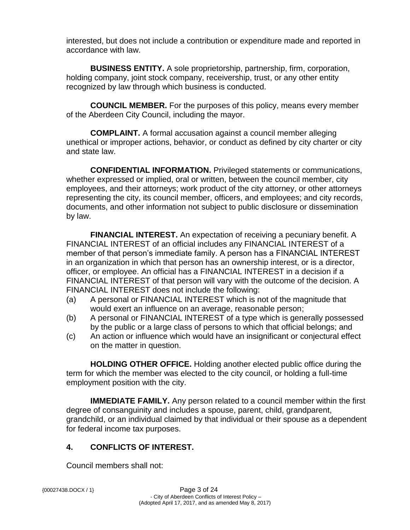interested, but does not include a contribution or expenditure made and reported in accordance with law.

**BUSINESS ENTITY.** A sole proprietorship, partnership, firm, corporation, holding company, joint stock company, receivership, trust, or any other entity recognized by law through which business is conducted.

**COUNCIL MEMBER.** For the purposes of this policy, means every member of the Aberdeen City Council, including the mayor.

**COMPLAINT.** A formal accusation against a council member alleging unethical or improper actions, behavior, or conduct as defined by city charter or city and state law.

**CONFIDENTIAL INFORMATION.** Privileged statements or communications, whether expressed or implied, oral or written, between the council member, city employees, and their attorneys; work product of the city attorney, or other attorneys representing the city, its council member, officers, and employees; and city records, documents, and other information not subject to public disclosure or dissemination by law.

**FINANCIAL INTEREST.** An expectation of receiving a pecuniary benefit. A FINANCIAL INTEREST of an official includes any FINANCIAL INTEREST of a member of that person's immediate family. A person has a FINANCIAL INTEREST in an organization in which that person has an ownership interest, or is a director, officer, or employee. An official has a FINANCIAL INTEREST in a decision if a FINANCIAL INTEREST of that person will vary with the outcome of the decision. A FINANCIAL INTEREST does not include the following:

- (a) A personal or FINANCIAL INTEREST which is not of the magnitude that would exert an influence on an average, reasonable person;
- (b) A personal or FINANCIAL INTEREST of a type which is generally possessed by the public or a large class of persons to which that official belongs; and
- (c) An action or influence which would have an insignificant or conjectural effect on the matter in question.

**HOLDING OTHER OFFICE.** Holding another elected public office during the term for which the member was elected to the city council, or holding a full-time employment position with the city.

**IMMEDIATE FAMILY.** Any person related to a council member within the first degree of consanguinity and includes a spouse, parent, child, grandparent, grandchild, or an individual claimed by that individual or their spouse as a dependent for federal income tax purposes.

### **4. CONFLICTS OF INTEREST.**

Council members shall not: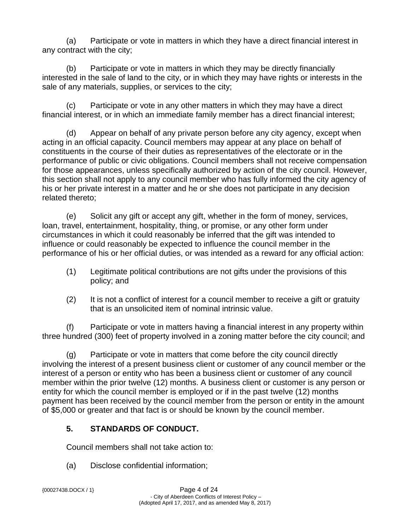(a) Participate or vote in matters in which they have a direct financial interest in any contract with the city;

(b) Participate or vote in matters in which they may be directly financially interested in the sale of land to the city, or in which they may have rights or interests in the sale of any materials, supplies, or services to the city;

(c) Participate or vote in any other matters in which they may have a direct financial interest, or in which an immediate family member has a direct financial interest;

(d) Appear on behalf of any private person before any city agency, except when acting in an official capacity. Council members may appear at any place on behalf of constituents in the course of their duties as representatives of the electorate or in the performance of public or civic obligations. Council members shall not receive compensation for those appearances, unless specifically authorized by action of the city council. However, this section shall not apply to any council member who has fully informed the city agency of his or her private interest in a matter and he or she does not participate in any decision related thereto;

(e) Solicit any gift or accept any gift, whether in the form of money, services, loan, travel, entertainment, hospitality, thing, or promise, or any other form under circumstances in which it could reasonably be inferred that the gift was intended to influence or could reasonably be expected to influence the council member in the performance of his or her official duties, or was intended as a reward for any official action:

- (1) Legitimate political contributions are not gifts under the provisions of this policy; and
- (2) It is not a conflict of interest for a council member to receive a gift or gratuity that is an unsolicited item of nominal intrinsic value.

(f) Participate or vote in matters having a financial interest in any property within three hundred (300) feet of property involved in a zoning matter before the city council; and

(g) Participate or vote in matters that come before the city council directly involving the interest of a present business client or customer of any council member or the interest of a person or entity who has been a business client or customer of any council member within the prior twelve (12) months. A business client or customer is any person or entity for which the council member is employed or if in the past twelve (12) months payment has been received by the council member from the person or entity in the amount of \$5,000 or greater and that fact is or should be known by the council member.

# **5. STANDARDS OF CONDUCT.**

Council members shall not take action to:

(a) Disclose confidential information;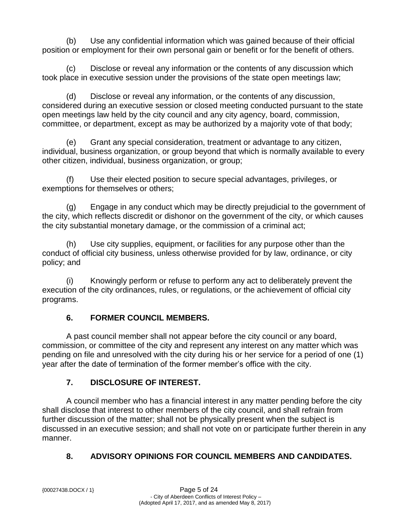(b) Use any confidential information which was gained because of their official position or employment for their own personal gain or benefit or for the benefit of others.

(c) Disclose or reveal any information or the contents of any discussion which took place in executive session under the provisions of the state open meetings law;

(d) Disclose or reveal any information, or the contents of any discussion, considered during an executive session or closed meeting conducted pursuant to the state open meetings law held by the city council and any city agency, board, commission, committee, or department, except as may be authorized by a majority vote of that body;

(e) Grant any special consideration, treatment or advantage to any citizen, individual, business organization, or group beyond that which is normally available to every other citizen, individual, business organization, or group;

(f) Use their elected position to secure special advantages, privileges, or exemptions for themselves or others;

(g) Engage in any conduct which may be directly prejudicial to the government of the city, which reflects discredit or dishonor on the government of the city, or which causes the city substantial monetary damage, or the commission of a criminal act;

(h) Use city supplies, equipment, or facilities for any purpose other than the conduct of official city business, unless otherwise provided for by law, ordinance, or city policy; and

(i) Knowingly perform or refuse to perform any act to deliberately prevent the execution of the city ordinances, rules, or regulations, or the achievement of official city programs.

## **6. FORMER COUNCIL MEMBERS.**

A past council member shall not appear before the city council or any board, commission, or committee of the city and represent any interest on any matter which was pending on file and unresolved with the city during his or her service for a period of one (1) year after the date of termination of the former member's office with the city.

## **7. DISCLOSURE OF INTEREST.**

A council member who has a financial interest in any matter pending before the city shall disclose that interest to other members of the city council, and shall refrain from further discussion of the matter; shall not be physically present when the subject is discussed in an executive session; and shall not vote on or participate further therein in any manner.

# **8. ADVISORY OPINIONS FOR COUNCIL MEMBERS AND CANDIDATES.**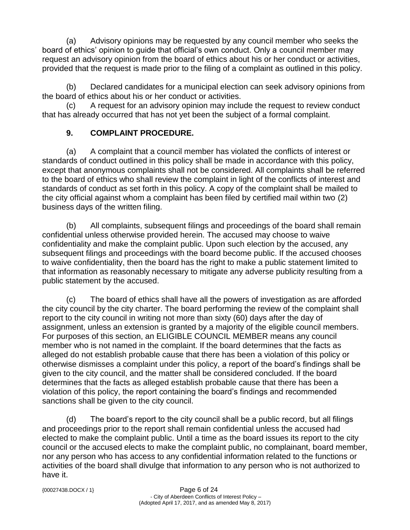(a) Advisory opinions may be requested by any council member who seeks the board of ethics' opinion to guide that official's own conduct. Only a council member may request an advisory opinion from the board of ethics about his or her conduct or activities, provided that the request is made prior to the filing of a complaint as outlined in this policy.

(b) Declared candidates for a municipal election can seek advisory opinions from the board of ethics about his or her conduct or activities.

(c) A request for an advisory opinion may include the request to review conduct that has already occurred that has not yet been the subject of a formal complaint.

## **9. COMPLAINT PROCEDURE.**

(a) A complaint that a council member has violated the conflicts of interest or standards of conduct outlined in this policy shall be made in accordance with this policy, except that anonymous complaints shall not be considered. All complaints shall be referred to the board of ethics who shall review the complaint in light of the conflicts of interest and standards of conduct as set forth in this policy. A copy of the complaint shall be mailed to the city official against whom a complaint has been filed by certified mail within two (2) business days of the written filing.

(b) All complaints, subsequent filings and proceedings of the board shall remain confidential unless otherwise provided herein. The accused may choose to waive confidentiality and make the complaint public. Upon such election by the accused, any subsequent filings and proceedings with the board become public. If the accused chooses to waive confidentiality, then the board has the right to make a public statement limited to that information as reasonably necessary to mitigate any adverse publicity resulting from a public statement by the accused.

(c) The board of ethics shall have all the powers of investigation as are afforded the city council by the city charter. The board performing the review of the complaint shall report to the city council in writing not more than sixty (60) days after the day of assignment, unless an extension is granted by a majority of the eligible council members. For purposes of this section, an ELIGIBLE COUNCIL MEMBER means any council member who is not named in the complaint. If the board determines that the facts as alleged do not establish probable cause that there has been a violation of this policy or otherwise dismisses a complaint under this policy, a report of the board's findings shall be given to the city council, and the matter shall be considered concluded. If the board determines that the facts as alleged establish probable cause that there has been a violation of this policy, the report containing the board's findings and recommended sanctions shall be given to the city council.

(d) The board's report to the city council shall be a public record, but all filings and proceedings prior to the report shall remain confidential unless the accused had elected to make the complaint public. Until a time as the board issues its report to the city council or the accused elects to make the complaint public, no complainant, board member, nor any person who has access to any confidential information related to the functions or activities of the board shall divulge that information to any person who is not authorized to have it.

| ${00027438. DOCX / 1}$ |  |
|------------------------|--|
|------------------------|--|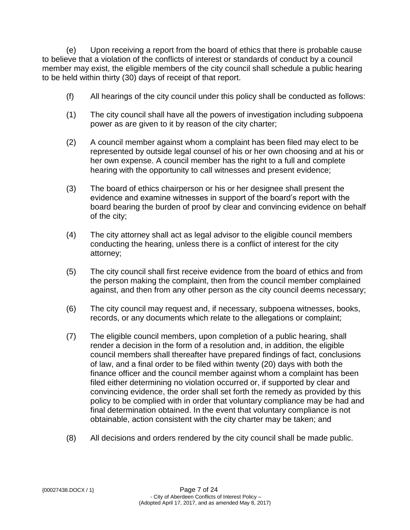(e) Upon receiving a report from the board of ethics that there is probable cause to believe that a violation of the conflicts of interest or standards of conduct by a council member may exist, the eligible members of the city council shall schedule a public hearing to be held within thirty (30) days of receipt of that report.

- (f) All hearings of the city council under this policy shall be conducted as follows:
- (1) The city council shall have all the powers of investigation including subpoena power as are given to it by reason of the city charter;
- (2) A council member against whom a complaint has been filed may elect to be represented by outside legal counsel of his or her own choosing and at his or her own expense. A council member has the right to a full and complete hearing with the opportunity to call witnesses and present evidence;
- (3) The board of ethics chairperson or his or her designee shall present the evidence and examine witnesses in support of the board's report with the board bearing the burden of proof by clear and convincing evidence on behalf of the city;
- (4) The city attorney shall act as legal advisor to the eligible council members conducting the hearing, unless there is a conflict of interest for the city attorney;
- (5) The city council shall first receive evidence from the board of ethics and from the person making the complaint, then from the council member complained against, and then from any other person as the city council deems necessary;
- (6) The city council may request and, if necessary, subpoena witnesses, books, records, or any documents which relate to the allegations or complaint;
- (7) The eligible council members, upon completion of a public hearing, shall render a decision in the form of a resolution and, in addition, the eligible council members shall thereafter have prepared findings of fact, conclusions of law, and a final order to be filed within twenty (20) days with both the finance officer and the council member against whom a complaint has been filed either determining no violation occurred or, if supported by clear and convincing evidence, the order shall set forth the remedy as provided by this policy to be complied with in order that voluntary compliance may be had and final determination obtained. In the event that voluntary compliance is not obtainable, action consistent with the city charter may be taken; and
- (8) All decisions and orders rendered by the city council shall be made public.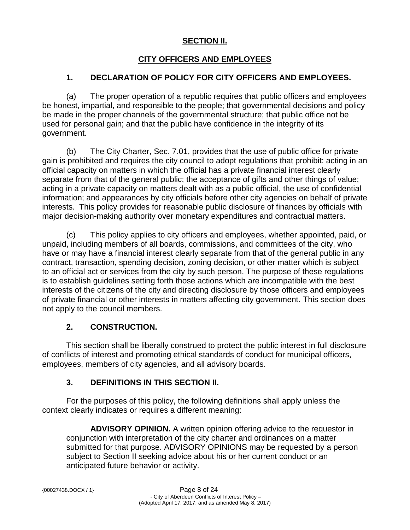## **SECTION II.**

## **CITY OFFICERS AND EMPLOYEES**

### **1. DECLARATION OF POLICY FOR CITY OFFICERS AND EMPLOYEES.**

(a) The proper operation of a republic requires that public officers and employees be honest, impartial, and responsible to the people; that governmental decisions and policy be made in the proper channels of the governmental structure; that public office not be used for personal gain; and that the public have confidence in the integrity of its government.

(b) The City Charter, Sec. 7.01, provides that the use of public office for private gain is prohibited and requires the city council to adopt regulations that prohibit: acting in an official capacity on matters in which the official has a private financial interest clearly separate from that of the general public; the acceptance of gifts and other things of value; acting in a private capacity on matters dealt with as a public official, the use of confidential information; and appearances by city officials before other city agencies on behalf of private interests. This policy provides for reasonable public disclosure of finances by officials with major decision-making authority over monetary expenditures and contractual matters.

(c) This policy applies to city officers and employees, whether appointed, paid, or unpaid, including members of all boards, commissions, and committees of the city, who have or may have a financial interest clearly separate from that of the general public in any contract, transaction, spending decision, zoning decision, or other matter which is subject to an official act or services from the city by such person. The purpose of these regulations is to establish guidelines setting forth those actions which are incompatible with the best interests of the citizens of the city and directing disclosure by those officers and employees of private financial or other interests in matters affecting city government. This section does not apply to the council members.

### **2. CONSTRUCTION.**

This section shall be liberally construed to protect the public interest in full disclosure of conflicts of interest and promoting ethical standards of conduct for municipal officers, employees, members of city agencies, and all advisory boards.

### **3. DEFINITIONS IN THIS SECTION II.**

For the purposes of this policy, the following definitions shall apply unless the context clearly indicates or requires a different meaning:

**ADVISORY OPINION.** A written opinion offering advice to the requestor in conjunction with interpretation of the city charter and ordinances on a matter submitted for that purpose. ADVISORY OPINIONS may be requested by a person subject to Section II seeking advice about his or her current conduct or an anticipated future behavior or activity.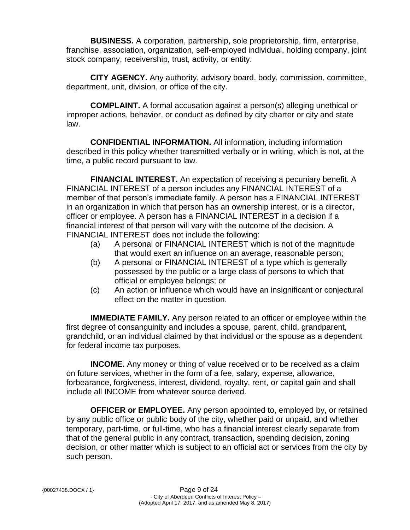**BUSINESS.** A corporation, partnership, sole proprietorship, firm, enterprise, franchise, association, organization, self-employed individual, holding company, joint stock company, receivership, trust, activity, or entity.

**CITY AGENCY.** Any authority, advisory board, body, commission, committee, department, unit, division, or office of the city.

**COMPLAINT.** A formal accusation against a person(s) alleging unethical or improper actions, behavior, or conduct as defined by city charter or city and state law.

**CONFIDENTIAL INFORMATION.** All information, including information described in this policy whether transmitted verbally or in writing, which is not, at the time, a public record pursuant to law.

**FINANCIAL INTEREST.** An expectation of receiving a pecuniary benefit. A FINANCIAL INTEREST of a person includes any FINANCIAL INTEREST of a member of that person's immediate family. A person has a FINANCIAL INTEREST in an organization in which that person has an ownership interest, or is a director, officer or employee. A person has a FINANCIAL INTEREST in a decision if a financial interest of that person will vary with the outcome of the decision. A FINANCIAL INTEREST does not include the following:

- (a) A personal or FINANCIAL INTEREST which is not of the magnitude that would exert an influence on an average, reasonable person;
- (b) A personal or FINANCIAL INTEREST of a type which is generally possessed by the public or a large class of persons to which that official or employee belongs; or
- (c) An action or influence which would have an insignificant or conjectural effect on the matter in question.

**IMMEDIATE FAMILY.** Any person related to an officer or employee within the first degree of consanguinity and includes a spouse, parent, child, grandparent, grandchild, or an individual claimed by that individual or the spouse as a dependent for federal income tax purposes.

**INCOME.** Any money or thing of value received or to be received as a claim on future services, whether in the form of a fee, salary, expense, allowance, forbearance, forgiveness, interest, dividend, royalty, rent, or capital gain and shall include all INCOME from whatever source derived.

**OFFICER or EMPLOYEE.** Any person appointed to, employed by, or retained by any public office or public body of the city, whether paid or unpaid, and whether temporary, part-time, or full-time, who has a financial interest clearly separate from that of the general public in any contract, transaction, spending decision, zoning decision, or other matter which is subject to an official act or services from the city by such person.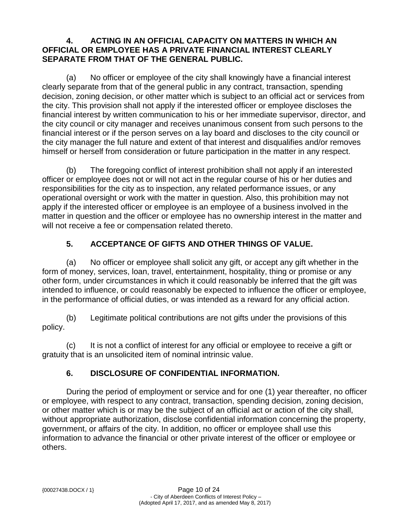#### **4. ACTING IN AN OFFICIAL CAPACITY ON MATTERS IN WHICH AN OFFICIAL OR EMPLOYEE HAS A PRIVATE FINANCIAL INTEREST CLEARLY SEPARATE FROM THAT OF THE GENERAL PUBLIC.**

(a) No officer or employee of the city shall knowingly have a financial interest clearly separate from that of the general public in any contract, transaction, spending decision, zoning decision, or other matter which is subject to an official act or services from the city. This provision shall not apply if the interested officer or employee discloses the financial interest by written communication to his or her immediate supervisor, director, and the city council or city manager and receives unanimous consent from such persons to the financial interest or if the person serves on a lay board and discloses to the city council or the city manager the full nature and extent of that interest and disqualifies and/or removes himself or herself from consideration or future participation in the matter in any respect.

(b) The foregoing conflict of interest prohibition shall not apply if an interested officer or employee does not or will not act in the regular course of his or her duties and responsibilities for the city as to inspection, any related performance issues, or any operational oversight or work with the matter in question. Also, this prohibition may not apply if the interested officer or employee is an employee of a business involved in the matter in question and the officer or employee has no ownership interest in the matter and will not receive a fee or compensation related thereto.

## **5. ACCEPTANCE OF GIFTS AND OTHER THINGS OF VALUE.**

(a) No officer or employee shall solicit any gift, or accept any gift whether in the form of money, services, loan, travel, entertainment, hospitality, thing or promise or any other form, under circumstances in which it could reasonably be inferred that the gift was intended to influence, or could reasonably be expected to influence the officer or employee, in the performance of official duties, or was intended as a reward for any official action.

(b) Legitimate political contributions are not gifts under the provisions of this policy.

(c) It is not a conflict of interest for any official or employee to receive a gift or gratuity that is an unsolicited item of nominal intrinsic value.

## **6. DISCLOSURE OF CONFIDENTIAL INFORMATION.**

During the period of employment or service and for one (1) year thereafter, no officer or employee, with respect to any contract, transaction, spending decision, zoning decision, or other matter which is or may be the subject of an official act or action of the city shall, without appropriate authorization, disclose confidential information concerning the property, government, or affairs of the city. In addition, no officer or employee shall use this information to advance the financial or other private interest of the officer or employee or others.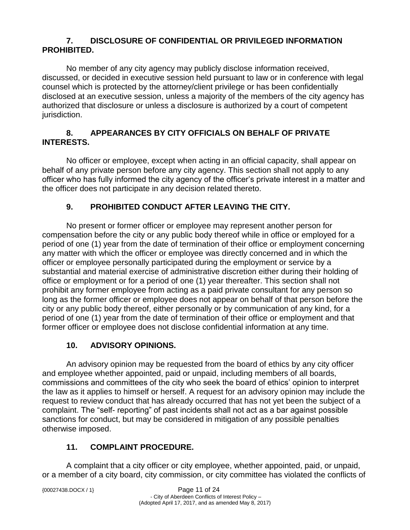### **7. DISCLOSURE OF CONFIDENTIAL OR PRIVILEGED INFORMATION PROHIBITED.**

No member of any city agency may publicly disclose information received, discussed, or decided in executive session held pursuant to law or in conference with legal counsel which is protected by the attorney/client privilege or has been confidentially disclosed at an executive session, unless a majority of the members of the city agency has authorized that disclosure or unless a disclosure is authorized by a court of competent jurisdiction.

### **8. APPEARANCES BY CITY OFFICIALS ON BEHALF OF PRIVATE INTERESTS.**

No officer or employee, except when acting in an official capacity, shall appear on behalf of any private person before any city agency. This section shall not apply to any officer who has fully informed the city agency of the officer's private interest in a matter and the officer does not participate in any decision related thereto.

## **9. PROHIBITED CONDUCT AFTER LEAVING THE CITY.**

No present or former officer or employee may represent another person for compensation before the city or any public body thereof while in office or employed for a period of one (1) year from the date of termination of their office or employment concerning any matter with which the officer or employee was directly concerned and in which the officer or employee personally participated during the employment or service by a substantial and material exercise of administrative discretion either during their holding of office or employment or for a period of one (1) year thereafter. This section shall not prohibit any former employee from acting as a paid private consultant for any person so long as the former officer or employee does not appear on behalf of that person before the city or any public body thereof, either personally or by communication of any kind, for a period of one (1) year from the date of termination of their office or employment and that former officer or employee does not disclose confidential information at any time.

### **10. ADVISORY OPINIONS.**

An advisory opinion may be requested from the board of ethics by any city officer and employee whether appointed, paid or unpaid, including members of all boards, commissions and committees of the city who seek the board of ethics' opinion to interpret the law as it applies to himself or herself. A request for an advisory opinion may include the request to review conduct that has already occurred that has not yet been the subject of a complaint. The "self- reporting" of past incidents shall not act as a bar against possible sanctions for conduct, but may be considered in mitigation of any possible penalties otherwise imposed.

## **11. COMPLAINT PROCEDURE.**

A complaint that a city officer or city employee, whether appointed, paid, or unpaid, or a member of a city board, city commission, or city committee has violated the conflicts of

|  | ${00027438. DOCX / 1}$ |  |
|--|------------------------|--|
|--|------------------------|--|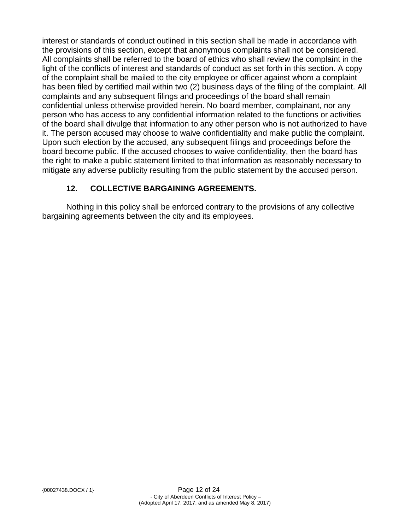interest or standards of conduct outlined in this section shall be made in accordance with the provisions of this section, except that anonymous complaints shall not be considered. All complaints shall be referred to the board of ethics who shall review the complaint in the light of the conflicts of interest and standards of conduct as set forth in this section. A copy of the complaint shall be mailed to the city employee or officer against whom a complaint has been filed by certified mail within two (2) business days of the filing of the complaint. All complaints and any subsequent filings and proceedings of the board shall remain confidential unless otherwise provided herein. No board member, complainant, nor any person who has access to any confidential information related to the functions or activities of the board shall divulge that information to any other person who is not authorized to have it. The person accused may choose to waive confidentiality and make public the complaint. Upon such election by the accused, any subsequent filings and proceedings before the board become public. If the accused chooses to waive confidentiality, then the board has the right to make a public statement limited to that information as reasonably necessary to mitigate any adverse publicity resulting from the public statement by the accused person.

## **12. COLLECTIVE BARGAINING AGREEMENTS.**

Nothing in this policy shall be enforced contrary to the provisions of any collective bargaining agreements between the city and its employees.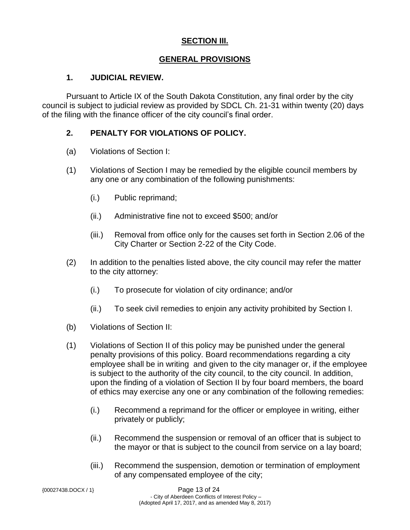### **SECTION III.**

#### **GENERAL PROVISIONS**

#### **1. JUDICIAL REVIEW.**

Pursuant to Article IX of the South Dakota Constitution, any final order by the city council is subject to judicial review as provided by SDCL Ch. 21-31 within twenty (20) days of the filing with the finance officer of the city council's final order.

#### **2. PENALTY FOR VIOLATIONS OF POLICY.**

- (a) Violations of Section I:
- (1) Violations of Section I may be remedied by the eligible council members by any one or any combination of the following punishments:
	- (i.) Public reprimand;
	- (ii.) Administrative fine not to exceed \$500; and/or
	- (iii.) Removal from office only for the causes set forth in Section 2.06 of the City Charter or Section 2-22 of the City Code.
- (2) In addition to the penalties listed above, the city council may refer the matter to the city attorney:
	- (i.) To prosecute for violation of city ordinance; and/or
	- (ii.) To seek civil remedies to enjoin any activity prohibited by Section I.
- (b) Violations of Section II:
- (1) Violations of Section II of this policy may be punished under the general penalty provisions of this policy. Board recommendations regarding a city employee shall be in writing and given to the city manager or, if the employee is subject to the authority of the city council, to the city council. In addition, upon the finding of a violation of Section II by four board members, the board of ethics may exercise any one or any combination of the following remedies:
	- (i.) Recommend a reprimand for the officer or employee in writing, either privately or publicly;
	- (ii.) Recommend the suspension or removal of an officer that is subject to the mayor or that is subject to the council from service on a lay board;
	- (iii.) Recommend the suspension, demotion or termination of employment of any compensated employee of the city;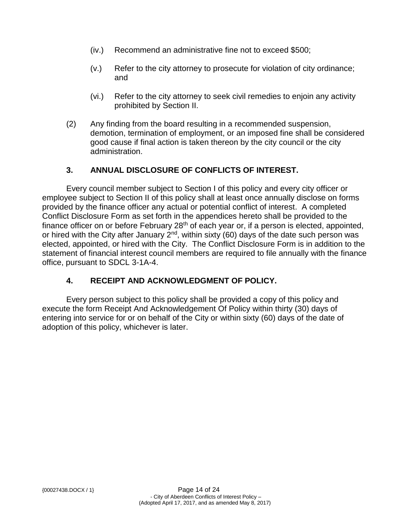- (iv.) Recommend an administrative fine not to exceed \$500;
- (v.) Refer to the city attorney to prosecute for violation of city ordinance; and
- (vi.) Refer to the city attorney to seek civil remedies to enjoin any activity prohibited by Section II.
- (2) Any finding from the board resulting in a recommended suspension, demotion, termination of employment, or an imposed fine shall be considered good cause if final action is taken thereon by the city council or the city administration.

### **3. ANNUAL DISCLOSURE OF CONFLICTS OF INTEREST.**

Every council member subject to Section I of this policy and every city officer or employee subject to Section II of this policy shall at least once annually disclose on forms provided by the finance officer any actual or potential conflict of interest. A completed Conflict Disclosure Form as set forth in the appendices hereto shall be provided to the finance officer on or before February  $28<sup>th</sup>$  of each year or, if a person is elected, appointed, or hired with the City after January  $2<sup>nd</sup>$ , within sixty (60) days of the date such person was elected, appointed, or hired with the City. The Conflict Disclosure Form is in addition to the statement of financial interest council members are required to file annually with the finance office, pursuant to SDCL 3-1A-4.

## **4. RECEIPT AND ACKNOWLEDGMENT OF POLICY.**

Every person subject to this policy shall be provided a copy of this policy and execute the form Receipt And Acknowledgement Of Policy within thirty (30) days of entering into service for or on behalf of the City or within sixty (60) days of the date of adoption of this policy, whichever is later.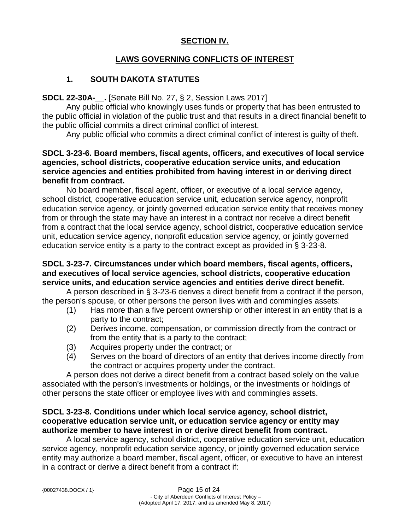### **SECTION IV.**

### **LAWS GOVERNING CONFLICTS OF INTEREST**

### **1. SOUTH DAKOTA STATUTES**

#### **SDCL 22-30A-\_\_.** [Senate Bill No. 27, § 2, Session Laws 2017]

Any public official who knowingly uses funds or property that has been entrusted to the public official in violation of the public trust and that results in a direct financial benefit to the public official commits a direct criminal conflict of interest.

Any public official who commits a direct criminal conflict of interest is guilty of theft.

#### **SDCL 3-23-6. Board members, fiscal agents, officers, and executives of local service agencies, school districts, cooperative education service units, and education service agencies and entities prohibited from having interest in or deriving direct benefit from contract.**

No board member, fiscal agent, officer, or executive of a local service agency, school district, cooperative education service unit, education service agency, nonprofit education service agency, or jointly governed education service entity that receives money from or through the state may have an interest in a contract nor receive a direct benefit from a contract that the local service agency, school district, cooperative education service unit, education service agency, nonprofit education service agency, or jointly governed education service entity is a party to the contract except as provided in § 3-23-8.

#### **SDCL 3-23-7. Circumstances under which board members, fiscal agents, officers, and executives of local service agencies, school districts, cooperative education service units, and education service agencies and entities derive direct benefit.**

A person described in § 3-23-6 derives a direct benefit from a contract if the person, the person's spouse, or other persons the person lives with and commingles assets:

- (1) Has more than a five percent ownership or other interest in an entity that is a party to the contract;
- (2) Derives income, compensation, or commission directly from the contract or from the entity that is a party to the contract;
- (3) Acquires property under the contract; or
- (4) Serves on the board of directors of an entity that derives income directly from the contract or acquires property under the contract.

A person does not derive a direct benefit from a contract based solely on the value associated with the person's investments or holdings, or the investments or holdings of other persons the state officer or employee lives with and commingles assets.

#### **SDCL 3-23-8. Conditions under which local service agency, school district, cooperative education service unit, or education service agency or entity may authorize member to have interest in or derive direct benefit from contract.**

A local service agency, school district, cooperative education service unit, education service agency, nonprofit education service agency, or jointly governed education service entity may authorize a board member, fiscal agent, officer, or executive to have an interest in a contract or derive a direct benefit from a contract if: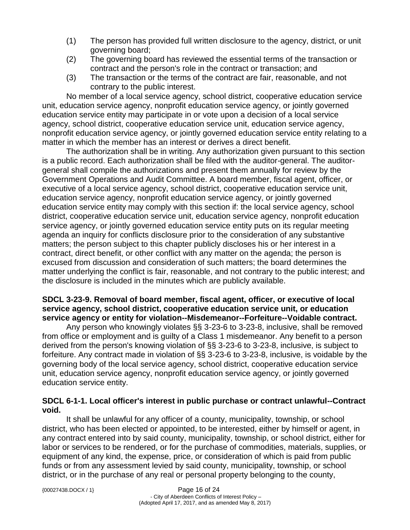- (1) The person has provided full written disclosure to the agency, district, or unit governing board;
- (2) The governing board has reviewed the essential terms of the transaction or contract and the person's role in the contract or transaction; and
- (3) The transaction or the terms of the contract are fair, reasonable, and not contrary to the public interest.

 No member of a local service agency, school district, cooperative education service unit, education service agency, nonprofit education service agency, or jointly governed education service entity may participate in or vote upon a decision of a local service agency, school district, cooperative education service unit, education service agency, nonprofit education service agency, or jointly governed education service entity relating to a matter in which the member has an interest or derives a direct benefit.

 The authorization shall be in writing. Any authorization given pursuant to this section is a public record. Each authorization shall be filed with the auditor-general. The auditorgeneral shall compile the authorizations and present them annually for review by the Government Operations and Audit Committee. A board member, fiscal agent, officer, or executive of a local service agency, school district, cooperative education service unit, education service agency, nonprofit education service agency, or jointly governed education service entity may comply with this section if: the local service agency, school district, cooperative education service unit, education service agency, nonprofit education service agency, or jointly governed education service entity puts on its regular meeting agenda an inquiry for conflicts disclosure prior to the consideration of any substantive matters; the person subject to this chapter publicly discloses his or her interest in a contract, direct benefit, or other conflict with any matter on the agenda; the person is excused from discussion and consideration of such matters; the board determines the matter underlying the conflict is fair, reasonable, and not contrary to the public interest; and the disclosure is included in the minutes which are publicly available.

#### **SDCL 3-23-9. Removal of board member, fiscal agent, officer, or executive of local service agency, school district, cooperative education service unit, or education service agency or entity for violation--Misdemeanor--Forfeiture--Voidable contract.**

Any person who knowingly violates §§ 3-23-6 to 3-23-8, inclusive, shall be removed from office or employment and is guilty of a Class 1 misdemeanor. Any benefit to a person derived from the person's knowing violation of §§ 3-23-6 to 3-23-8, inclusive, is subject to forfeiture. Any contract made in violation of §§ 3-23-6 to 3-23-8, inclusive, is voidable by the governing body of the local service agency, school district, cooperative education service unit, education service agency, nonprofit education service agency, or jointly governed education service entity.

#### **SDCL 6-1-1. Local officer's interest in public purchase or contract unlawful--Contract void.**

It shall be unlawful for any officer of a county, municipality, township, or school district, who has been elected or appointed, to be interested, either by himself or agent, in any contract entered into by said county, municipality, township, or school district, either for labor or services to be rendered, or for the purchase of commodities, materials, supplies, or equipment of any kind, the expense, price, or consideration of which is paid from public funds or from any assessment levied by said county, municipality, township, or school district, or in the purchase of any real or personal property belonging to the county,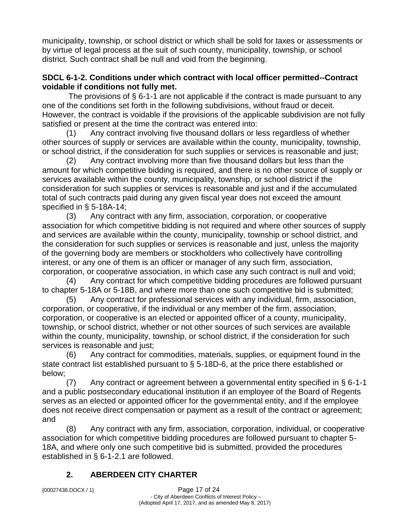municipality, township, or school district or which shall be sold for taxes or assessments or by virtue of legal process at the suit of such county, municipality, township, or school district. Such contract shall be null and void from the beginning.

#### **SDCL 6-1-2. Conditions under which contract with local officer permitted--Contract voidable if conditions not fully met.**

The provisions of § 6-1-1 are not applicable if the contract is made pursuant to any one of the conditions set forth in the following subdivisions, without fraud or deceit. However, the contract is voidable if the provisions of the applicable subdivision are not fully satisfied or present at the time the contract was entered into:

(1) Any contract involving five thousand dollars or less regardless of whether other sources of supply or services are available within the county, municipality, township, or school district, if the consideration for such supplies or services is reasonable and just;

(2) Any contract involving more than five thousand dollars but less than the amount for which competitive bidding is required, and there is no other source of supply or services available within the county, municipality, township, or school district if the consideration for such supplies or services is reasonable and just and if the accumulated total of such contracts paid during any given fiscal year does not exceed the amount specified in § 5-18A-14;

(3) Any contract with any firm, association, corporation, or cooperative association for which competitive bidding is not required and where other sources of supply and services are available within the county, municipality, township or school district, and the consideration for such supplies or services is reasonable and just, unless the majority of the governing body are members or stockholders who collectively have controlling interest, or any one of them is an officer or manager of any such firm, association, corporation, or cooperative association, in which case any such contract is null and void;

(4) Any contract for which competitive bidding procedures are followed pursuant to chapter 5-18A or 5-18B, and where more than one such competitive bid is submitted;

(5) Any contract for professional services with any individual, firm, association, corporation, or cooperative, if the individual or any member of the firm, association, corporation, or cooperative is an elected or appointed officer of a county, municipality, township, or school district, whether or not other sources of such services are available within the county, municipality, township, or school district, if the consideration for such services is reasonable and just;

(6) Any contract for commodities, materials, supplies, or equipment found in the state contract list established pursuant to § 5-18D-6, at the price there established or below;

(7) Any contract or agreement between a governmental entity specified in § 6-1-1 and a public postsecondary educational institution if an employee of the Board of Regents serves as an elected or appointed officer for the governmental entity, and if the employee does not receive direct compensation or payment as a result of the contract or agreement; and

(8) Any contract with any firm, association, corporation, individual, or cooperative association for which competitive bidding procedures are followed pursuant to chapter 5- 18A, and where only one such competitive bid is submitted, provided the procedures established in § 6-1-2.1 are followed.

## **2. ABERDEEN CITY CHARTER**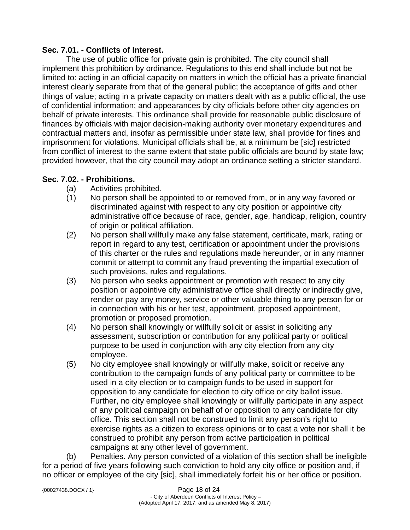#### **Sec. 7.01. - Conflicts of Interest.**

The use of public office for private gain is prohibited. The city council shall implement this prohibition by ordinance. Regulations to this end shall include but not be limited to: acting in an official capacity on matters in which the official has a private financial interest clearly separate from that of the general public; the acceptance of gifts and other things of value; acting in a private capacity on matters dealt with as a public official, the use of confidential information; and appearances by city officials before other city agencies on behalf of private interests. This ordinance shall provide for reasonable public disclosure of finances by officials with major decision-making authority over monetary expenditures and contractual matters and, insofar as permissible under state law, shall provide for fines and imprisonment for violations. Municipal officials shall be, at a minimum be [sic] restricted from conflict of interest to the same extent that state public officials are bound by state law; provided however, that the city council may adopt an ordinance setting a stricter standard.

#### **Sec. 7.02. - Prohibitions.**

- (a) Activities prohibited.
- (1) No person shall be appointed to or removed from, or in any way favored or discriminated against with respect to any city position or appointive city administrative office because of race, gender, age, handicap, religion, country of origin or political affiliation.
- (2) No person shall willfully make any false statement, certificate, mark, rating or report in regard to any test, certification or appointment under the provisions of this charter or the rules and regulations made hereunder, or in any manner commit or attempt to commit any fraud preventing the impartial execution of such provisions, rules and regulations.
- (3) No person who seeks appointment or promotion with respect to any city position or appointive city administrative office shall directly or indirectly give, render or pay any money, service or other valuable thing to any person for or in connection with his or her test, appointment, proposed appointment, promotion or proposed promotion.
- (4) No person shall knowingly or willfully solicit or assist in soliciting any assessment, subscription or contribution for any political party or political purpose to be used in conjunction with any city election from any city employee.
- (5) No city employee shall knowingly or willfully make, solicit or receive any contribution to the campaign funds of any political party or committee to be used in a city election or to campaign funds to be used in support for opposition to any candidate for election to city office or city ballot issue. Further, no city employee shall knowingly or willfully participate in any aspect of any political campaign on behalf of or opposition to any candidate for city office. This section shall not be construed to limit any person's right to exercise rights as a citizen to express opinions or to cast a vote nor shall it be construed to prohibit any person from active participation in political campaigns at any other level of government.

(b) Penalties. Any person convicted of a violation of this section shall be ineligible for a period of five years following such conviction to hold any city office or position and, if no officer or employee of the city [sic], shall immediately forfeit his or her office or position.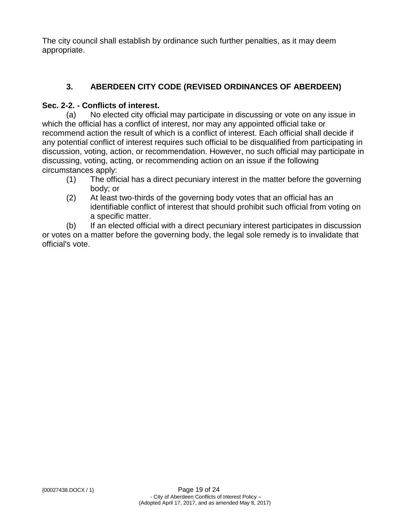The city council shall establish by ordinance such further penalties, as it may deem appropriate.

# **3. ABERDEEN CITY CODE (REVISED ORDINANCES OF ABERDEEN)**

### **Sec. 2-2. - Conflicts of interest.**

(a) No elected city official may participate in discussing or vote on any issue in which the official has a conflict of interest, nor may any appointed official take or recommend action the result of which is a conflict of interest. Each official shall decide if any potential conflict of interest requires such official to be disqualified from participating in discussion, voting, action, or recommendation. However, no such official may participate in discussing, voting, acting, or recommending action on an issue if the following circumstances apply:

- (1) The official has a direct pecuniary interest in the matter before the governing body; or
- (2) At least two-thirds of the governing body votes that an official has an identifiable conflict of interest that should prohibit such official from voting on a specific matter.

(b) If an elected official with a direct pecuniary interest participates in discussion or votes on a matter before the governing body, the legal sole remedy is to invalidate that official's vote.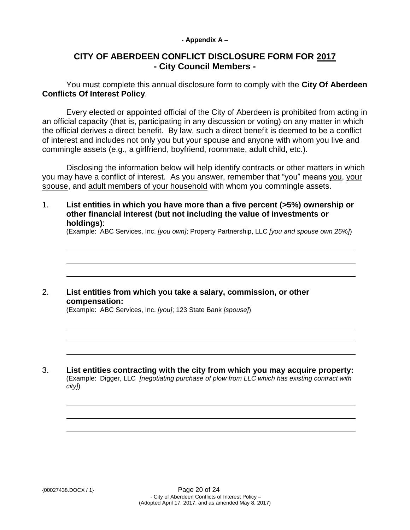#### **- Appendix A –**

## **CITY OF ABERDEEN CONFLICT DISCLOSURE FORM FOR 2017 - City Council Members -**

You must complete this annual disclosure form to comply with the **City Of Aberdeen Conflicts Of Interest Policy**.

Every elected or appointed official of the City of Aberdeen is prohibited from acting in an official capacity (that is, participating in any discussion or voting) on any matter in which the official derives a direct benefit. By law, such a direct benefit is deemed to be a conflict of interest and includes not only you but your spouse and anyone with whom you live and commingle assets (e.g., a girlfriend, boyfriend, roommate, adult child, etc.).

Disclosing the information below will help identify contracts or other matters in which you may have a conflict of interest. As you answer, remember that "you" means you, your spouse, and adult members of your household with whom you commingle assets.

1. **List entities in which you have more than a five percent (>5%) ownership or other financial interest (but not including the value of investments or holdings)**:

(Example: ABC Services, Inc. *[you own]*; Property Partnership, LLC *[you and spouse own 25%]*)

#### 2. **List entities from which you take a salary, commission, or other compensation:**

(Example: ABC Services, Inc. *[you]*; 123 State Bank *[spouse]*)

3. **List entities contracting with the city from which you may acquire property:** (Example: Digger, LLC *[negotiating purchase of plow from LLC which has existing contract with city]*)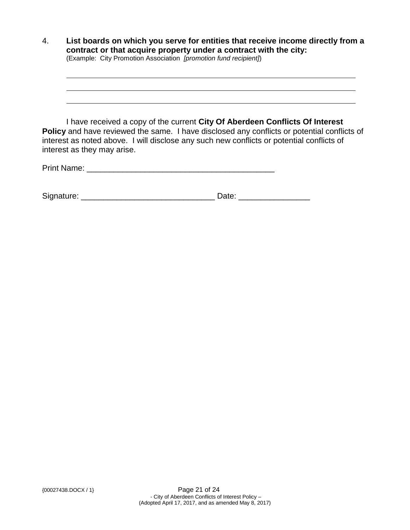| $\overline{4}$ . | List boards on which you serve for entities that receive income directly from a<br>contract or that acquire property under a contract with the city:<br>(Example: City Promotion Association [promotion fund recipient])                                                                                       |  |  |
|------------------|----------------------------------------------------------------------------------------------------------------------------------------------------------------------------------------------------------------------------------------------------------------------------------------------------------------|--|--|
|                  | I have received a copy of the current City Of Aberdeen Conflicts Of Interest<br><b>Policy</b> and have reviewed the same. I have disclosed any conflicts or potential conflicts of<br>interest as noted above. I will disclose any such new conflicts or potential conflicts of<br>interest as they may arise. |  |  |
|                  | <b>Print Name:</b>                                                                                                                                                                                                                                                                                             |  |  |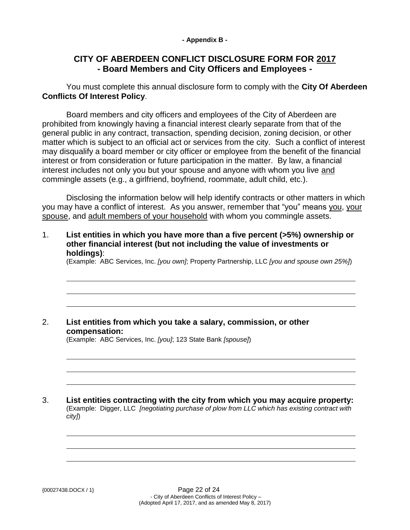#### **- Appendix B -**

## **CITY OF ABERDEEN CONFLICT DISCLOSURE FORM FOR 2017 - Board Members and City Officers and Employees -**

You must complete this annual disclosure form to comply with the **City Of Aberdeen Conflicts Of Interest Policy**.

Board members and city officers and employees of the City of Aberdeen are prohibited from knowingly having a financial interest clearly separate from that of the general public in any contract, transaction, spending decision, zoning decision, or other matter which is subject to an official act or services from the city. Such a conflict of interest may disqualify a board member or city officer or employee from the benefit of the financial interest or from consideration or future participation in the matter. By law, a financial interest includes not only you but your spouse and anyone with whom you live and commingle assets (e.g., a girlfriend, boyfriend, roommate, adult child, etc.).

Disclosing the information below will help identify contracts or other matters in which you may have a conflict of interest. As you answer, remember that "you" means you, your spouse, and adult members of your household with whom you commingle assets.

1. **List entities in which you have more than a five percent (>5%) ownership or other financial interest (but not including the value of investments or holdings)**:

(Example: ABC Services, Inc. *[you own]*; Property Partnership, LLC *[you and spouse own 25%]*)

## 2. **List entities from which you take a salary, commission, or other compensation:**

(Example: ABC Services, Inc. *[you]*; 123 State Bank *[spouse]*)

3. **List entities contracting with the city from which you may acquire property:** (Example: Digger, LLC *[negotiating purchase of plow from LLC which has existing contract with city]*)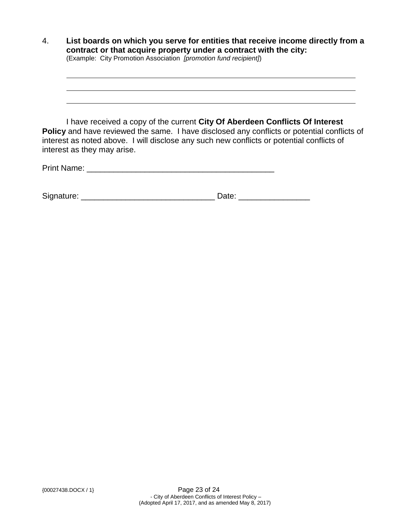| $\overline{4}$ . | List boards on which you serve for entities that receive income directly from a<br>contract or that acquire property under a contract with the city:<br>(Example: City Promotion Association [promotion fund recipient])                                                                                       |  |  |
|------------------|----------------------------------------------------------------------------------------------------------------------------------------------------------------------------------------------------------------------------------------------------------------------------------------------------------------|--|--|
|                  | I have received a copy of the current City Of Aberdeen Conflicts Of Interest<br><b>Policy</b> and have reviewed the same. I have disclosed any conflicts or potential conflicts of<br>interest as noted above. I will disclose any such new conflicts or potential conflicts of<br>interest as they may arise. |  |  |
|                  | Print Name:                                                                                                                                                                                                                                                                                                    |  |  |